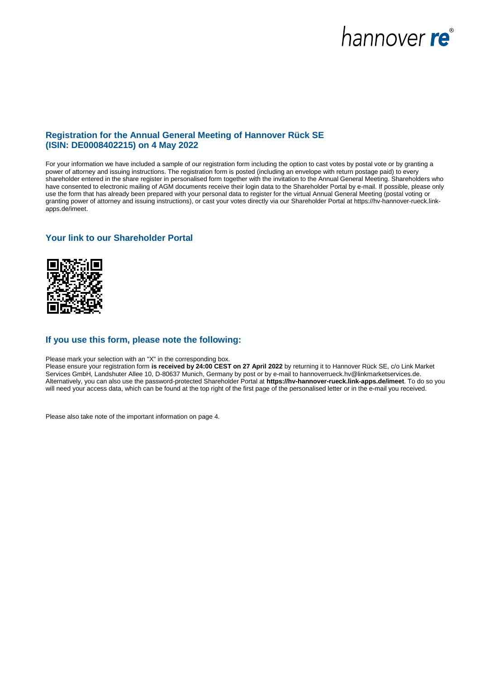## hannover re<sup>®</sup>

## **Registration for the Annual General Meeting of Hannover Rück SE (ISIN: DE0008402215) on 4 May 2022**

For your information we have included a sample of our registration form including the option to cast votes by postal vote or by granting a power of attorney and issuing instructions. The registration form is posted (including an envelope with return postage paid) to every shareholder entered in the share register in personalised form together with the invitation to the Annual General Meeting. Shareholders who have consented to electronic mailing of AGM documents receive their login data to the Shareholder Portal by e-mail. If possible, please only use the form that has already been prepared with your personal data to register for the virtual Annual General Meeting (postal voting or granting power of attorney and issuing instructions), or cast your votes directly via our Shareholder Portal at [https://hv-hannover-rueck.link](https://hv-hannover-rueck.link-apps.de/imeet)[apps.de/imeet.](https://hv-hannover-rueck.link-apps.de/imeet)

## **Your link to our Shareholder Portal**



### **If you use this form, please note the following:**

Please mark your selection with an "X" in the corresponding box. Please ensure your registration form **is received by 24:00 CEST on 27 [April 2022](mailto:hannoverrueck.hv@linkmarketservices.de)** by returning it to Hannover Rück SE, c/o Link Market Services GmbH, Landshuter Allee 10, D-80637 Munich, Germany by post or by e-mail to [hannoverrueck.hv@linkmarketservices.de.](mailto:hannoverrueck.hv@linkmarketservices.de)  Alternatively, you can also use the password-protected Shareholder Portal at **<https://hv-hannover-rueck.link-apps.de/imeet>**. To do so you will need your access data, which can be found at the top right of the first page of the personalised letter or in the e-mail you received.

Please also take note of the important information on page 4.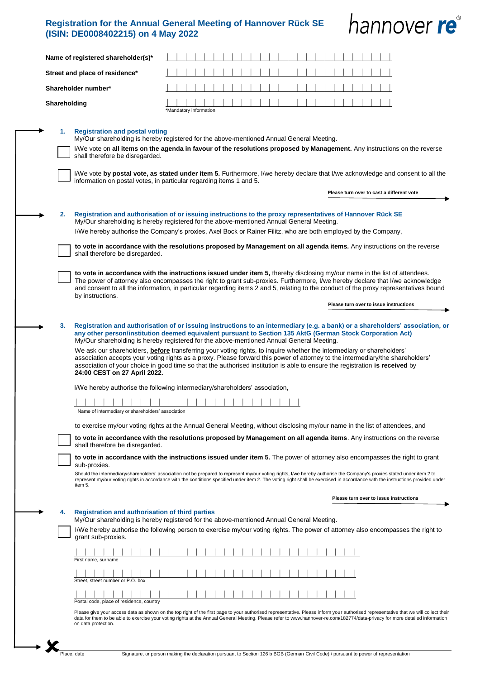## **Registration for the Annual General Meeting of Hannover Rück SE (ISIN: DE0008402215) on 4 May 2022**



| Name of registered shareholder(s)*                                                                                                                                         |                        |  |                                                                                                                                                                                                                                                                                                                                                                                                                                                                                                                                                                                                                                        |
|----------------------------------------------------------------------------------------------------------------------------------------------------------------------------|------------------------|--|----------------------------------------------------------------------------------------------------------------------------------------------------------------------------------------------------------------------------------------------------------------------------------------------------------------------------------------------------------------------------------------------------------------------------------------------------------------------------------------------------------------------------------------------------------------------------------------------------------------------------------------|
| Street and place of residence*                                                                                                                                             |                        |  |                                                                                                                                                                                                                                                                                                                                                                                                                                                                                                                                                                                                                                        |
| Shareholder number*                                                                                                                                                        |                        |  |                                                                                                                                                                                                                                                                                                                                                                                                                                                                                                                                                                                                                                        |
| Shareholding                                                                                                                                                               | *Mandatory information |  |                                                                                                                                                                                                                                                                                                                                                                                                                                                                                                                                                                                                                                        |
| 1.<br><b>Registration and postal voting</b><br>My/Our shareholding is hereby registered for the above-mentioned Annual General Meeting.<br>shall therefore be disregarded. |                        |  | I/We vote on all items on the agenda in favour of the resolutions proposed by Management. Any instructions on the reverse                                                                                                                                                                                                                                                                                                                                                                                                                                                                                                              |
| information on postal votes, in particular regarding items 1 and 5.                                                                                                        |                        |  | I/We vote by postal vote, as stated under item 5. Furthermore, I/we hereby declare that I/we acknowledge and consent to all the                                                                                                                                                                                                                                                                                                                                                                                                                                                                                                        |
|                                                                                                                                                                            |                        |  | Please turn over to cast a different vote                                                                                                                                                                                                                                                                                                                                                                                                                                                                                                                                                                                              |
| 2.<br>My/Our shareholding is hereby registered for the above-mentioned Annual General Meeting.                                                                             |                        |  | Registration and authorisation of or issuing instructions to the proxy representatives of Hannover Rück SE<br>I/We hereby authorise the Company's proxies, Axel Bock or Rainer Filitz, who are both employed by the Company,                                                                                                                                                                                                                                                                                                                                                                                                           |
| shall therefore be disregarded.                                                                                                                                            |                        |  | to vote in accordance with the resolutions proposed by Management on all agenda items. Any instructions on the reverse                                                                                                                                                                                                                                                                                                                                                                                                                                                                                                                 |
| by instructions.                                                                                                                                                           |                        |  | to vote in accordance with the instructions issued under item 5, thereby disclosing my/our name in the list of attendees.<br>The power of attorney also encompasses the right to grant sub-proxies. Furthermore, I/we hereby declare that I/we acknowledge<br>and consent to all the information, in particular regarding items 2 and 5, relating to the conduct of the proxy representatives bound                                                                                                                                                                                                                                    |
|                                                                                                                                                                            |                        |  | Please turn over to issue instructions                                                                                                                                                                                                                                                                                                                                                                                                                                                                                                                                                                                                 |
| 3.<br>My/Our shareholding is hereby registered for the above-mentioned Annual General Meeting.<br>24:00 CEST on 27 April 2022.                                             |                        |  | Registration and authorisation of or issuing instructions to an intermediary (e.g. a bank) or a shareholders' association, or<br>any other person/institution deemed equivalent pursuant to Section 135 AktG (German Stock Corporation Act)<br>We ask our shareholders, before transferring your voting rights, to inquire whether the intermediary or shareholders'<br>association accepts your voting rights as a proxy. Please forward this power of attorney to the intermediary/the shareholders'<br>association of your choice in good time so that the authorised institution is able to ensure the registration is received by |
| I/We hereby authorise the following intermediary/shareholders' association,                                                                                                |                        |  |                                                                                                                                                                                                                                                                                                                                                                                                                                                                                                                                                                                                                                        |
| Name of intermediary or shareholders' associatior                                                                                                                          |                        |  |                                                                                                                                                                                                                                                                                                                                                                                                                                                                                                                                                                                                                                        |
|                                                                                                                                                                            |                        |  | to exercise my/our voting rights at the Annual General Meeting, without disclosing my/our name in the list of attendees, and                                                                                                                                                                                                                                                                                                                                                                                                                                                                                                           |
| shall therefore be disregarded.                                                                                                                                            |                        |  | to vote in accordance with the resolutions proposed by Management on all agenda items. Any instructions on the reverse                                                                                                                                                                                                                                                                                                                                                                                                                                                                                                                 |
| sub-proxies.                                                                                                                                                               |                        |  | to vote in accordance with the instructions issued under item 5. The power of attorney also encompasses the right to grant                                                                                                                                                                                                                                                                                                                                                                                                                                                                                                             |
| item 5.                                                                                                                                                                    |                        |  | Should the intermediary/shareholders' association not be prepared to represent my/our voting rights, I/we hereby authorise the Company's proxies stated under item 2 to<br>represent my/our voting rights in accordance with the conditions specified under item 2. The voting right shall be exercised in accordance with the instructions provided under                                                                                                                                                                                                                                                                             |
|                                                                                                                                                                            |                        |  | Please turn over to issue instructions                                                                                                                                                                                                                                                                                                                                                                                                                                                                                                                                                                                                 |
| <b>Registration and authorisation of third parties</b><br>4.<br>My/Our shareholding is hereby registered for the above-mentioned Annual General Meeting.                   |                        |  | I/We hereby authorise the following person to exercise my/our voting rights. The power of attorney also encompasses the right to                                                                                                                                                                                                                                                                                                                                                                                                                                                                                                       |
| grant sub-proxies.                                                                                                                                                         |                        |  |                                                                                                                                                                                                                                                                                                                                                                                                                                                                                                                                                                                                                                        |
| First name, surname                                                                                                                                                        |                        |  |                                                                                                                                                                                                                                                                                                                                                                                                                                                                                                                                                                                                                                        |
| Street, street number or P.O. box                                                                                                                                          |                        |  |                                                                                                                                                                                                                                                                                                                                                                                                                                                                                                                                                                                                                                        |
|                                                                                                                                                                            |                        |  |                                                                                                                                                                                                                                                                                                                                                                                                                                                                                                                                                                                                                                        |
| Postal code, place of residence, country                                                                                                                                   |                        |  |                                                                                                                                                                                                                                                                                                                                                                                                                                                                                                                                                                                                                                        |
| on data protection.                                                                                                                                                        |                        |  | Please give your access data as shown on the top right of the first page to your authorised representative. Please inform your authorised representative that we will collect their<br>data for them to be able to exercise your voting rights at the Annual General Meeting. Please refer to www.hannover-re.com/182774/data-privacy for more detailed information                                                                                                                                                                                                                                                                    |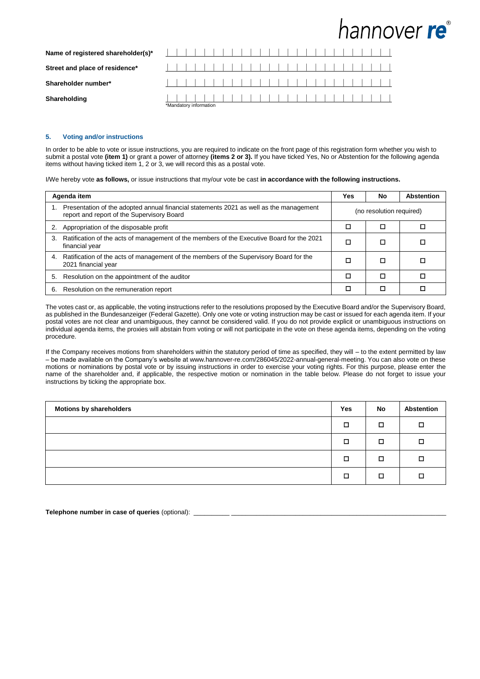# hannover re<sup>®</sup>

| Name of registered shareholder(s)* |  |  |                        |  |  |  |  |  |  |  |  |  |  |
|------------------------------------|--|--|------------------------|--|--|--|--|--|--|--|--|--|--|
| Street and place of residence*     |  |  |                        |  |  |  |  |  |  |  |  |  |  |
| Shareholder number*                |  |  |                        |  |  |  |  |  |  |  |  |  |  |
| Shareholding                       |  |  | *Mandatory information |  |  |  |  |  |  |  |  |  |  |

#### **5. Voting and/or instructions**

In order to be able to vote or issue instructions, you are required to indicate on the front page of this registration form whether you wish to submit a postal vote **(item 1)** or grant a power of attorney **(items 2 or 3).** If you have ticked Yes, No or Abstention for the following agenda items without having ticked item 1, 2 or 3, we will record this as a postal vote.

I/We hereby vote **as follows,** or issue instructions that my/our vote be cast **in accordance with the following instructions.**

|    | Agenda item                                                                                                                          | Yes                      | No | <b>Abstention</b> |
|----|--------------------------------------------------------------------------------------------------------------------------------------|--------------------------|----|-------------------|
|    | Presentation of the adopted annual financial statements 2021 as well as the management<br>report and report of the Supervisory Board | (no resolution required) |    |                   |
| 2. | Appropriation of the disposable profit                                                                                               |                          | □  |                   |
| 3. | Ratification of the acts of management of the members of the Executive Board for the 2021<br>financial year                          | П                        | □  |                   |
| 4. | Ratification of the acts of management of the members of the Supervisory Board for the<br>2021 financial year                        | П                        | □  |                   |
| 5. | Resolution on the appointment of the auditor                                                                                         |                          | П  |                   |
| 6. | Resolution on the remuneration report                                                                                                | П                        |    |                   |

The votes cast or, as applicable, the voting instructions refer to the resolutions proposed by the Executive Board and/or the Supervisory Board, as published in the Bundesanzeiger (Federal Gazette). Only one vote or voting instruction may be cast or issued for each agenda item. If your postal votes are not clear and unambiguous, they cannot be considered valid. If you do not provide explicit or unambiguous instructions on individual agenda items, the proxies will abstain from voting or will not participate in the vote on these agenda items, depending on the voting procedure.

If the Company receives motions from shareholders within the statutory period of time as specified, they will – to the extent permitted by law – be made available on the Company's website a[t www.hannover-re.com/286045/2022-annual-general-meeting.](https://www.hannover-re.com/286045/2022-annual-general-meeting) You can also vote on these motions or nominations by postal vote or by issuing instructions in order to exercise your voting rights. For this purpose, please enter the name of the shareholder and, if applicable, the respective motion or nomination in the table below. Please do not forget to issue your instructions by ticking the appropriate box.

| <b>Motions by shareholders</b> | <b>Yes</b> | No | <b>Abstention</b> |
|--------------------------------|------------|----|-------------------|
|                                | □          | □  | o                 |
|                                | □          | □  | ח                 |
|                                | $\Box$     | □  |                   |
|                                | п          | □  |                   |

**Telephone number in case of queries (optional):**